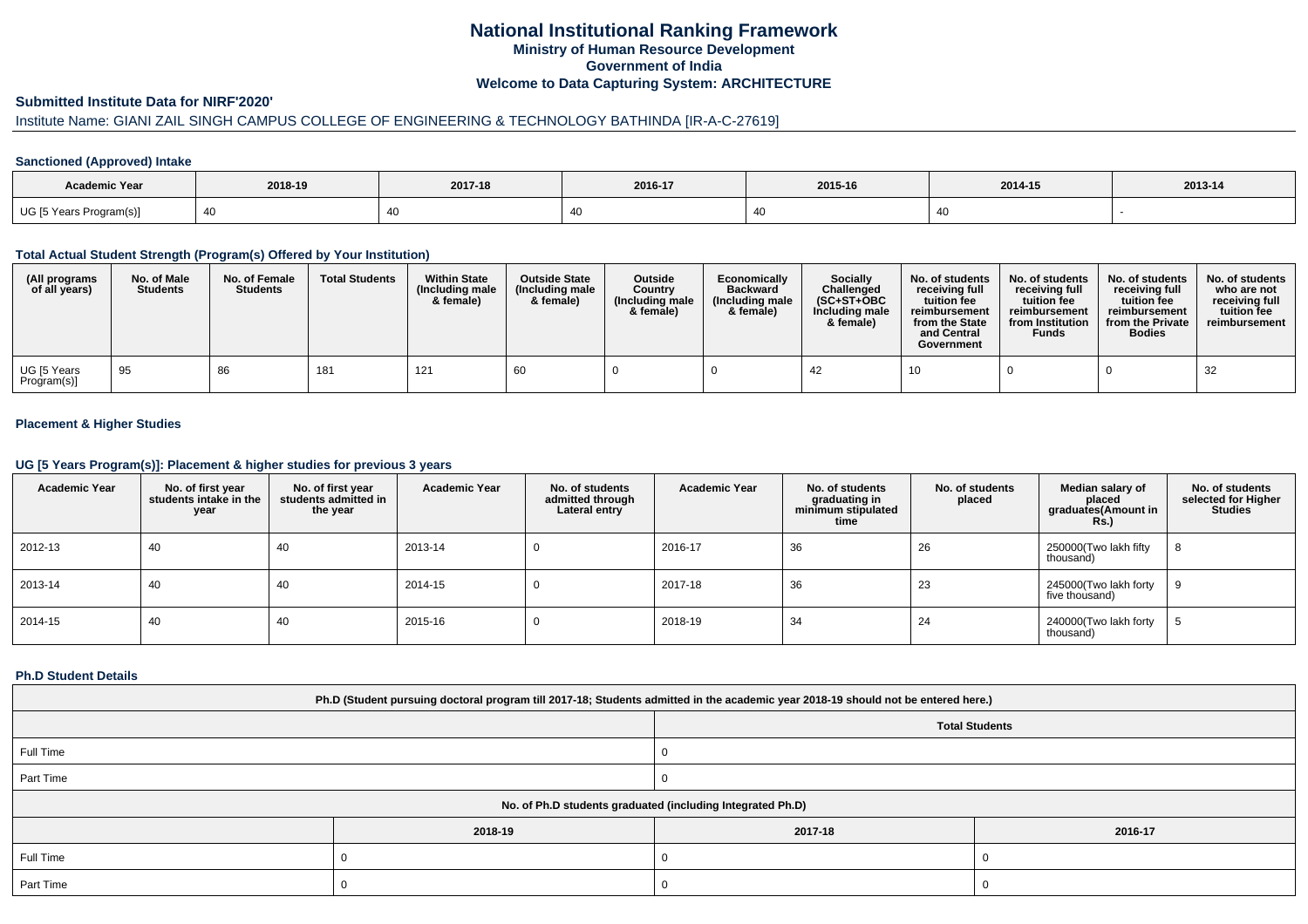# **National Institutional Ranking FrameworkMinistry of Human Resource DevelopmentGovernment of IndiaWelcome to Data Capturing System: ARCHITECTURE**

### **Submitted Institute Data for NIRF'2020'**

# Institute Name: GIANI ZAIL SINGH CAMPUS COLLEGE OF ENGINEERING & TECHNOLOGY BATHINDA [IR-A-C-27619]

### **Sanctioned (Approved) Intake**

| Academic Year           | 2018-19    | 2017-18 | 2016-17        | 2015-16 | 2014-15 | $2013 - 14$ |
|-------------------------|------------|---------|----------------|---------|---------|-------------|
| UG [5 Years Program(s)] | $\Delta$ r |         | $\overline{ }$ |         |         |             |

### **Total Actual Student Strength (Program(s) Offered by Your Institution)**

| (All programs<br>of all years) | No. of Male<br><b>Students</b> | No. of Female<br><b>Students</b> | <b>Total Students</b> | <b>Within State</b><br>(Including male<br>& female) | <b>Outside State</b><br>(Including male)<br>& female) | <b>Outside</b><br>Country<br>(Including male<br>& female) | Economically<br><b>Backward</b><br>(Including male<br>& female) | <b>Socially</b><br>Challenged<br>$(SC+ST+OBC$<br>Including male<br>& female) | No. of students<br>receiving full<br>tuition fee<br>reimbursement<br>from the State<br>and Central<br>Government | No. of students<br>receiving full<br>tuition fee<br>reimbursement<br>from Institution<br><b>Funds</b> | No. of students<br>receiving full<br>tuition fee<br>reimbursement<br>from the Private<br><b>Bodies</b> | No. of students<br>who are not<br>receiving full<br>tuition fee<br>reimbursement |
|--------------------------------|--------------------------------|----------------------------------|-----------------------|-----------------------------------------------------|-------------------------------------------------------|-----------------------------------------------------------|-----------------------------------------------------------------|------------------------------------------------------------------------------|------------------------------------------------------------------------------------------------------------------|-------------------------------------------------------------------------------------------------------|--------------------------------------------------------------------------------------------------------|----------------------------------------------------------------------------------|
| UG [5 Years<br>Program(s)]     | - 95                           | 86                               | 181                   | 121                                                 | -60                                                   |                                                           |                                                                 | -42                                                                          | 10                                                                                                               |                                                                                                       |                                                                                                        | 32                                                                               |

### **Placement & Higher Studies**

### **UG [5 Years Program(s)]: Placement & higher studies for previous 3 years**

| <b>Academic Year</b> | No. of first year<br>students intake in the<br>year | No. of first vear<br>students admitted in<br>the year | <b>Academic Year</b> | No. of students<br>admitted through<br>Lateral entry | <b>Academic Year</b> | No. of students<br>graduating in<br>minimum stipulated<br>time | No. of students<br>placed | Median salary of<br>placed<br>graduates(Amount in<br>Rs. | No. of students<br>selected for Higher<br><b>Studies</b> |
|----------------------|-----------------------------------------------------|-------------------------------------------------------|----------------------|------------------------------------------------------|----------------------|----------------------------------------------------------------|---------------------------|----------------------------------------------------------|----------------------------------------------------------|
| 2012-13              | 40                                                  | 40                                                    | 2013-14              |                                                      | 2016-17              | 36                                                             | 26                        | 250000(Two lakh fifty<br>thousand)                       | 8                                                        |
| 2013-14              | 40                                                  | 40                                                    | 2014-15              |                                                      | 2017-18              | 36                                                             | 23                        | 245000(Two lakh forty<br>five thousand)                  |                                                          |
| 2014-15              | 40                                                  | 40                                                    | 2015-16              |                                                      | 2018-19              | 34                                                             | 24                        | 240000(Two lakh forty<br>thousand)                       |                                                          |

### **Ph.D Student Details**

| Ph.D (Student pursuing doctoral program till 2017-18; Students admitted in the academic year 2018-19 should not be entered here.) |         |         |                       |  |  |  |
|-----------------------------------------------------------------------------------------------------------------------------------|---------|---------|-----------------------|--|--|--|
|                                                                                                                                   |         |         | <b>Total Students</b> |  |  |  |
| Full Time                                                                                                                         |         |         |                       |  |  |  |
| Part Time                                                                                                                         |         |         |                       |  |  |  |
| No. of Ph.D students graduated (including Integrated Ph.D)                                                                        |         |         |                       |  |  |  |
|                                                                                                                                   | 2018-19 | 2017-18 | 2016-17               |  |  |  |
| Full Time                                                                                                                         |         |         |                       |  |  |  |
| Part Time                                                                                                                         |         | J.      |                       |  |  |  |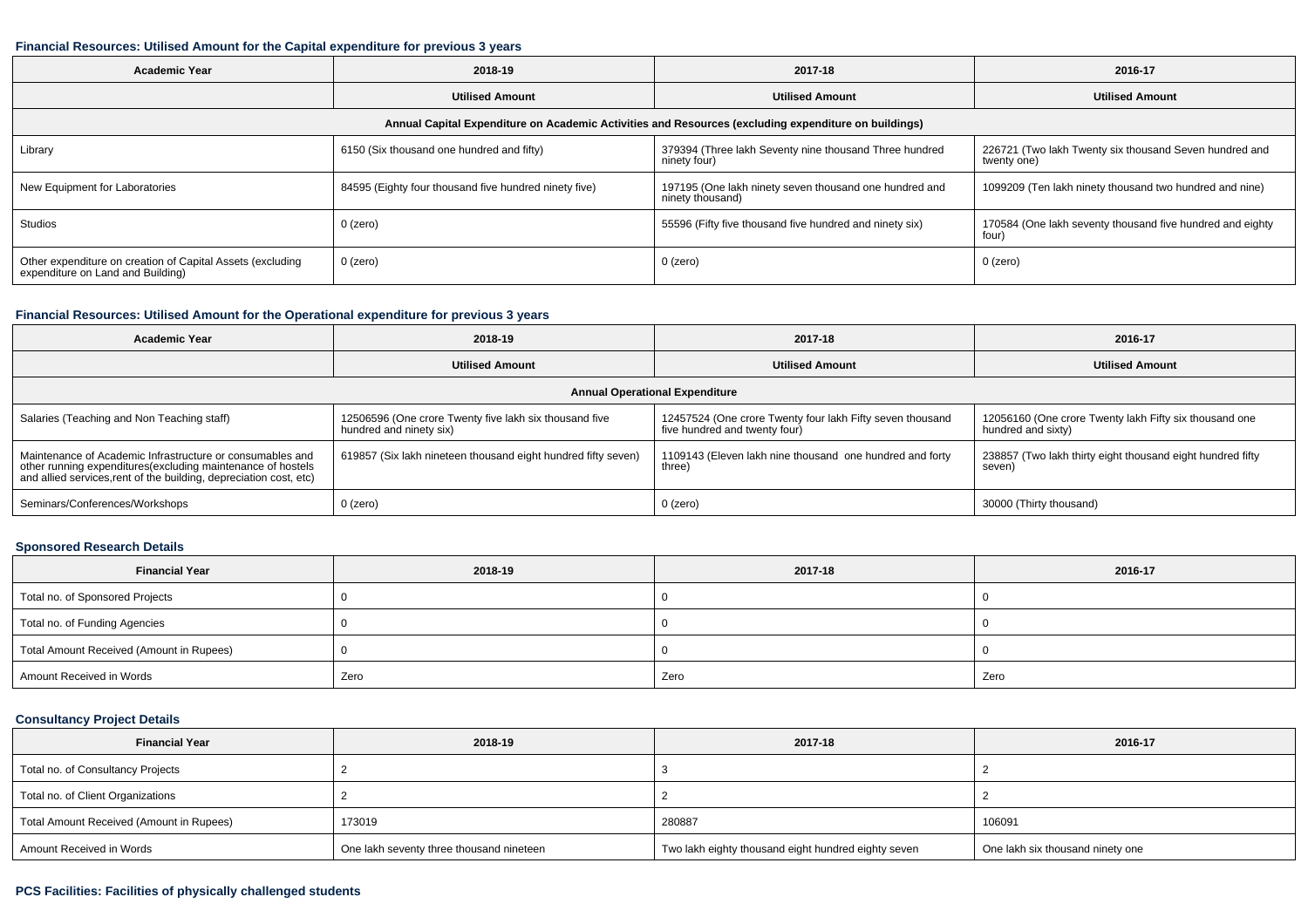### **Financial Resources: Utilised Amount for the Capital expenditure for previous 3 years**

| 2018-19<br><b>Academic Year</b>                                                                      |                                                       | 2017-18                                                                    | 2016-17                                                               |  |  |  |  |  |
|------------------------------------------------------------------------------------------------------|-------------------------------------------------------|----------------------------------------------------------------------------|-----------------------------------------------------------------------|--|--|--|--|--|
|                                                                                                      | <b>Utilised Amount</b>                                | <b>Utilised Amount</b>                                                     | <b>Utilised Amount</b>                                                |  |  |  |  |  |
| Annual Capital Expenditure on Academic Activities and Resources (excluding expenditure on buildings) |                                                       |                                                                            |                                                                       |  |  |  |  |  |
| Library                                                                                              | 6150 (Six thousand one hundred and fifty)             | 379394 (Three lakh Seventy nine thousand Three hundred<br>ninety four)     | 226721 (Two lakh Twenty six thousand Seven hundred and<br>twenty one) |  |  |  |  |  |
| New Equipment for Laboratories                                                                       | 84595 (Eighty four thousand five hundred ninety five) | 197195 (One lakh ninety seven thousand one hundred and<br>ninety thousand) | 1099209 (Ten lakh ninety thousand two hundred and nine)               |  |  |  |  |  |
| Studios                                                                                              | 0 (zero)                                              | 55596 (Fifty five thousand five hundred and ninety six)                    | 170584 (One lakh seventy thousand five hundred and eighty<br>four)    |  |  |  |  |  |
| Other expenditure on creation of Capital Assets (excluding<br>expenditure on Land and Building)      | 0 (zero)                                              | 0 (zero)                                                                   | 0 (zero)                                                              |  |  |  |  |  |

## **Financial Resources: Utilised Amount for the Operational expenditure for previous 3 years**

| 2018-19<br>Academic Year                                                                                                                                                                        |                                                                                   | 2017-18                                                                                    | 2016-17                                                                      |  |  |  |  |
|-------------------------------------------------------------------------------------------------------------------------------------------------------------------------------------------------|-----------------------------------------------------------------------------------|--------------------------------------------------------------------------------------------|------------------------------------------------------------------------------|--|--|--|--|
|                                                                                                                                                                                                 | <b>Utilised Amount</b>                                                            |                                                                                            | <b>Utilised Amount</b>                                                       |  |  |  |  |
| <b>Annual Operational Expenditure</b>                                                                                                                                                           |                                                                                   |                                                                                            |                                                                              |  |  |  |  |
| Salaries (Teaching and Non Teaching staff)                                                                                                                                                      | 12506596 (One crore Twenty five lakh six thousand five<br>hundred and ninety six) | 12457524 (One crore Twenty four lakh Fifty seven thousand<br>five hundred and twenty four) | 12056160 (One crore Twenty lakh Fifty six thousand one<br>hundred and sixty) |  |  |  |  |
| Maintenance of Academic Infrastructure or consumables and<br>other running expenditures (excluding maintenance of hostels<br>and allied services, rent of the building, depreciation cost, etc) | 619857 (Six lakh nineteen thousand eight hundred fifty seven)                     | 1109143 (Eleven lakh nine thousand one hundred and forty<br>three)                         | 238857 (Two lakh thirty eight thousand eight hundred fifty<br>seven)         |  |  |  |  |
| Seminars/Conferences/Workshops                                                                                                                                                                  | 0 (zero)                                                                          | 0 (zero)                                                                                   | 30000 (Thirty thousand)                                                      |  |  |  |  |

## **Sponsored Research Details**

| <b>Financial Year</b>                    | 2018-19 | 2017-18 | 2016-17 |
|------------------------------------------|---------|---------|---------|
| Total no. of Sponsored Projects          |         |         |         |
| Total no. of Funding Agencies            |         |         |         |
| Total Amount Received (Amount in Rupees) |         |         |         |
| Amount Received in Words                 | Zero    | Zero    | Zero    |

### **Consultancy Project Details**

| <b>Financial Year</b>                    | 2018-19                                  | 2017-18                                             | 2016-17                          |
|------------------------------------------|------------------------------------------|-----------------------------------------------------|----------------------------------|
| Total no. of Consultancy Projects        |                                          |                                                     |                                  |
| Total no. of Client Organizations        |                                          |                                                     |                                  |
| Total Amount Received (Amount in Rupees) | 173019                                   | 280887                                              | 106091                           |
| Amount Received in Words                 | One lakh seventy three thousand nineteen | Two lakh eighty thousand eight hundred eighty seven | One lakh six thousand ninety one |

### **PCS Facilities: Facilities of physically challenged students**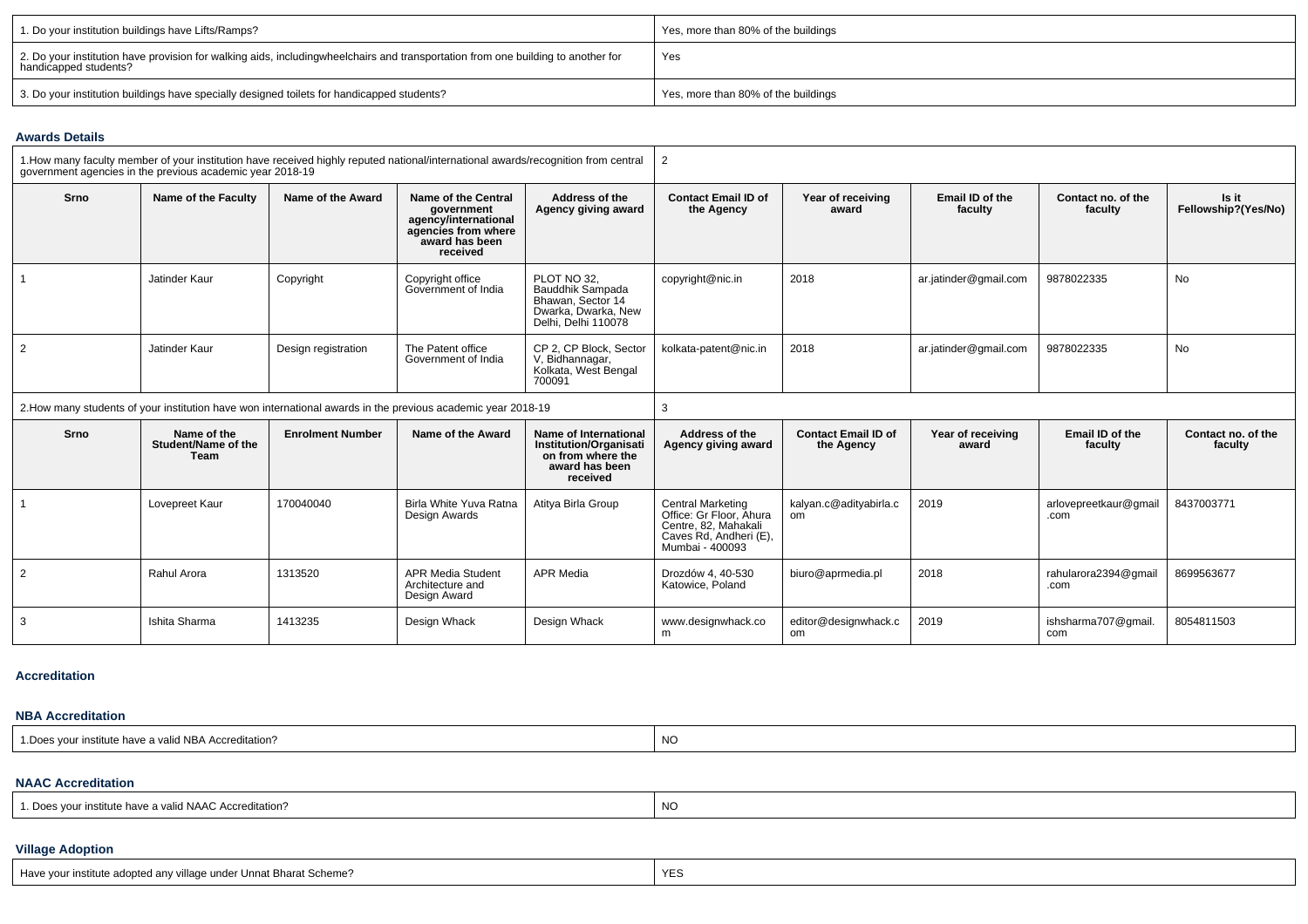| 1. Do your institution buildings have Lifts/Ramps?                                                                                                        | Yes, more than 80% of the buildings |
|-----------------------------------------------------------------------------------------------------------------------------------------------------------|-------------------------------------|
| 2. Do your institution have provision for walking aids, includingwheelchairs and transportation from one building to another for<br>handicapped students? | Yes                                 |
| 3. Do your institution buildings have specially designed toilets for handicapped students?                                                                | Yes, more than 80% of the buildings |

### **Awards Details**

|                                                                                                              | government agencies in the previous academic year 2018-19 |                         | 1. How many faculty member of your institution have received highly reputed national/international awards/recognition from central |                                                                                                                  | $\overline{2}$                                                                                                    |                                          |                            |                               |                               |
|--------------------------------------------------------------------------------------------------------------|-----------------------------------------------------------|-------------------------|------------------------------------------------------------------------------------------------------------------------------------|------------------------------------------------------------------------------------------------------------------|-------------------------------------------------------------------------------------------------------------------|------------------------------------------|----------------------------|-------------------------------|-------------------------------|
| Srno                                                                                                         | Name of the Faculty                                       | Name of the Award       | Name of the Central<br>government<br>agency/international<br>agencies from where<br>award has been<br>received                     | Address of the<br>Agency giving award                                                                            | <b>Contact Email ID of</b><br>the Agency                                                                          | Year of receiving<br>award               | Email ID of the<br>faculty | Contact no. of the<br>faculty | Is it<br>Fellowship?(Yes/No)  |
|                                                                                                              | Jatinder Kaur                                             | Copyright               | Copyright office<br>Government of India                                                                                            | PLOT NO 32.<br>Bauddhik Sampada<br>Bhawan, Sector 14<br>Dwarka, Dwarka, New<br>Delhi, Delhi 110078               | copyright@nic.in                                                                                                  | 2018                                     | ar.jatinder@gmail.com      | 9878022335                    | <b>No</b>                     |
| $\overline{2}$                                                                                               | Jatinder Kaur                                             | Design registration     | The Patent office<br>Government of India                                                                                           | CP 2. CP Block. Sector<br>V, Bidhannagar,<br>Kolkata, West Bengal<br>700091                                      | kolkata-patent@nic.in                                                                                             | 2018                                     | ar.jatinder@gmail.com      | 9878022335                    | <b>No</b>                     |
| 2. How many students of your institution have won international awards in the previous academic year 2018-19 |                                                           |                         | 3                                                                                                                                  |                                                                                                                  |                                                                                                                   |                                          |                            |                               |                               |
| Srno                                                                                                         | Name of the<br>Student/Name of the<br>Team                | <b>Enrolment Number</b> | Name of the Award                                                                                                                  | <b>Name of International</b><br><b>Institution/Organisati</b><br>on from where the<br>award has been<br>received | Address of the<br>Agency giving award                                                                             | <b>Contact Email ID of</b><br>the Agency | Year of receiving<br>award | Email ID of the<br>faculty    | Contact no. of the<br>faculty |
|                                                                                                              | Lovepreet Kaur                                            | 170040040               | Birla White Yuva Ratna<br>Design Awards                                                                                            | Atitya Birla Group                                                                                               | Central Marketing<br>Office: Gr Floor. Ahura<br>Centre, 82. Mahakali<br>Caves Rd, Andheri (E),<br>Mumbai - 400093 | kalyan.c@adityabirla.c<br>om             | 2019                       | arlovepreetkaur@gmail<br>.com | 8437003771                    |
| $\overline{2}$                                                                                               | Rahul Arora                                               | 1313520                 | <b>APR Media Student</b><br>Architecture and<br>Design Award                                                                       | <b>APR Media</b>                                                                                                 | Drozdów 4, 40-530<br>Katowice, Poland                                                                             | biuro@aprmedia.pl                        | 2018                       | rahularora2394@gmail<br>.com  | 8699563677                    |

### **Accreditation**

3

### **NBA Accreditation**

| a valid NBA Accreditation?<br>$\overline{\phantom{a}}$<br>nstitute have a | NC |
|---------------------------------------------------------------------------|----|
|---------------------------------------------------------------------------|----|

editor@designwhack.c om

2019

ishsharma707@gmail. com

8054811503

Ishita Sharma (1413235 Design Whack Design Whack Whack Whack Whack Whack Movesign Whack Design Whack Moves and<br>In the moves of the moves of the moves of the moves of the moves of the moves of the moves of the moves of the

## **NAAC Accreditation**

| I. Does your institute have a valid NAAC Accreditation?<br>NO. |  |
|----------------------------------------------------------------|--|
|----------------------------------------------------------------|--|

## **Village Adoption**

| Have your institute adopted any village under Unnat Bharat Scheme? | <b>YES</b> |
|--------------------------------------------------------------------|------------|
|--------------------------------------------------------------------|------------|